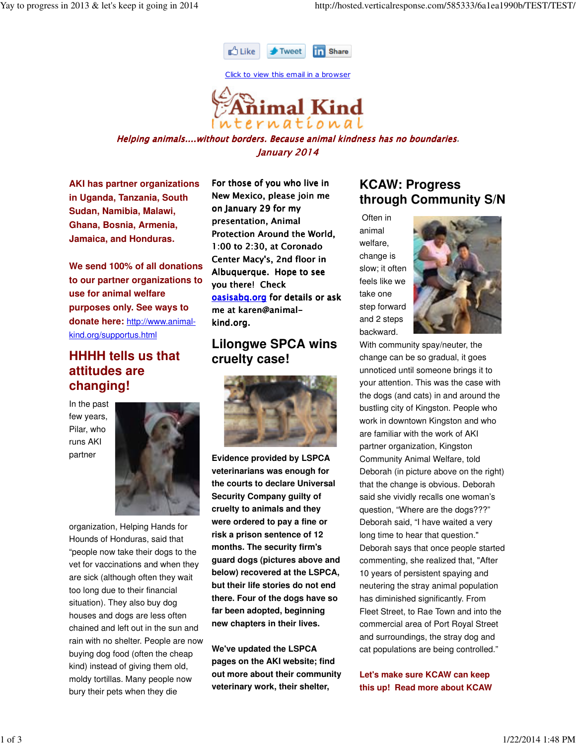

Click to view this email in a browser



#### Helping animals....without borders. Because animal kindness has no boundaries. January 2014

**AKI has partner organizations in Uganda, Tanzania, South Sudan, Namibia, Malawi, Ghana, Bosnia, Armenia, Jamaica, and Honduras.** 

**We send 100% of all donations to our partner organizations to use for animal welfare purposes only. See ways to donate here:** http://www.animalkind.org/supportus.html

### **HHHH tells us that attitudes are changing!**

In the past few years, Pilar, who runs AKI partner



organization, Helping Hands for Hounds of Honduras, said that "people now take their dogs to the vet for vaccinations and when they are sick (although often they wait too long due to their financial situation). They also buy dog houses and dogs are less often chained and left out in the sun and rain with no shelter. People are now buying dog food (often the cheap kind) instead of giving them old, moldy tortillas. Many people now bury their pets when they die

For those of you who live in New Mexico, please join me on January 29 for my presentation, Animal Protection Around the World, 1:00 to 2:30, at Coronado Center Macy's, 2nd floor in Albuquerque. Hope to see you there! Check oasisabq.org for details or ask me at karen@animalkind.org.

## **Lilongwe SPCA wins cruelty case!**



**Evidence provided by LSPCA veterinarians was enough for the courts to declare Universal Security Company guilty of cruelty to animals and they were ordered to pay a fine or risk a prison sentence of 12 months. The security firm's guard dogs (pictures above and below) recovered at the LSPCA, but their life stories do not end there. Four of the dogs have so far been adopted, beginning new chapters in their lives.**

**We've updated the LSPCA pages on the AKI website; find out more about their community veterinary work, their shelter,**

### **KCAW: Progress through Community S/N**

 Often in animal welfare, change is slow; it often feels like we take one step forward and 2 steps backward.



With community spay/neuter, the change can be so gradual, it goes unnoticed until someone brings it to your attention. This was the case with the dogs (and cats) in and around the bustling city of Kingston. People who work in downtown Kingston and who are familiar with the work of AKI partner organization, Kingston Community Animal Welfare, told Deborah (in picture above on the right) that the change is obvious. Deborah said she vividly recalls one woman's question, "Where are the dogs???" Deborah said, "I have waited a very long time to hear that question." Deborah says that once people started commenting, she realized that, "After 10 years of persistent spaying and neutering the stray animal population has diminished significantly. From Fleet Street, to Rae Town and into the commercial area of Port Royal Street and surroundings, the stray dog and cat populations are being controlled."

**Let's make sure KCAW can keep this up! Read more about KCAW**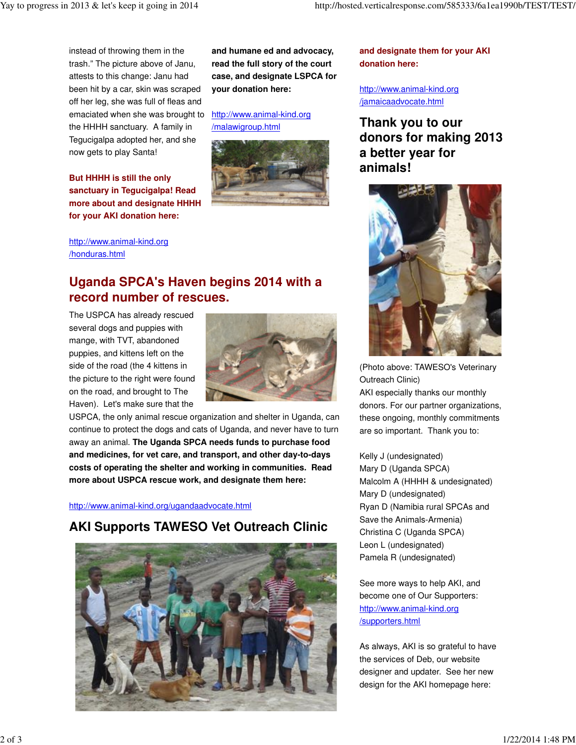instead of throwing them in the trash." The picture above of Janu, attests to this change: Janu had been hit by a car, skin was scraped off her leg, she was full of fleas and emaciated when she was brought to the HHHH sanctuary. A family in Tegucigalpa adopted her, and she now gets to play Santa!

**But HHHH is still the only sanctuary in Tegucigalpa! Read more about and designate HHHH for your AKI donation here:** 

**and humane ed and advocacy, read the full story of the court case, and designate LSPCA for your donation here:** 

http://www.animal-kind.org /malawigroup.html



http://www.animal-kind.org /honduras.html

### **Uganda SPCA's Haven begins 2014 with a record number of rescues.**

The USPCA has already rescued several dogs and puppies with mange, with TVT, abandoned puppies, and kittens left on the side of the road (the 4 kittens in the picture to the right were found on the road, and brought to The Haven). Let's make sure that the



USPCA, the only animal rescue organization and shelter in Uganda, can continue to protect the dogs and cats of Uganda, and never have to turn away an animal. **The Uganda SPCA needs funds to purchase food and medicines, for vet care, and transport, and other day-to-days costs of operating the shelter and working in communities. Read more about USPCA rescue work, and designate them here:** 

http://www.animal-kind.org/ugandaadvocate.html

# **AKI Supports TAWESO Vet Outreach Clinic**



**and designate them for your AKI donation here:** 

http://www.animal-kind.org /jamaicaadvocate.html

**Thank you to our donors for making 2013 a better year for animals!** 



(Photo above: TAWESO's Veterinary Outreach Clinic) AKI especially thanks our monthly donors. For our partner organizations, these ongoing, monthly commitments are so important. Thank you to:

Kelly J (undesignated) Mary D (Uganda SPCA) Malcolm A (HHHH & undesignated) Mary D (undesignated) Ryan D (Namibia rural SPCAs and Save the Animals-Armenia) Christina C (Uganda SPCA) Leon L (undesignated) Pamela R (undesignated)

See more ways to help AKI, and become one of Our Supporters: http://www.animal-kind.org /supporters.html

As always, AKI is so grateful to have the services of Deb, our website designer and updater. See her new design for the AKI homepage here: